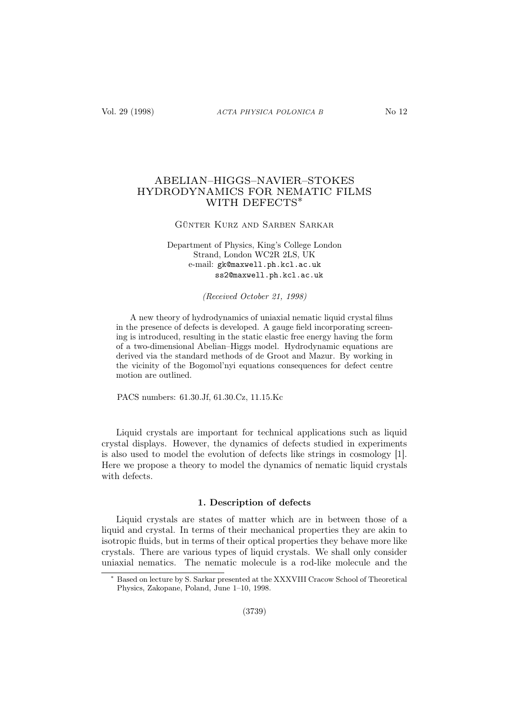# ABELIAN–HIGGS–NAVIER–STOKES HYDRODYNAMICS FOR NEMATIC FILMS WITH DEFECTS<sup>\*</sup>

## Günter Kurz and Sarben Sarkar

Department of Physics, King's College London Strand, London WC2R 2LS, UK e-mail: gk@maxwell.ph.kcl.ac.uk ss2@maxwell.ph.kcl.ac.uk

(Received October 21, 1998)

A new theory of hydrodynamics of uniaxial nematic liquid crystal films in the presence of defects is developed. A gauge field incorporating screening is introduced, resulting in the static elastic free energy having the form of a two-dimensional Abelian–Higgs model. Hydrodynamic equations are derived via the standard methods of de Groot and Mazur. By working in the vicinity of the Bogomol'nyi equations consequences for defect centre motion are outlined.

PACS numbers: 61.30.Jf, 61.30.Cz, 11.15.Kc

Liquid crystals are important for technical applications such as liquid crystal displays. However, the dynamics of defects studied in experiments is also used to model the evolution of defects like strings in cosmology [1]. Here we propose a theory to model the dynamics of nematic liquid crystals with defects.

## 1. Description of defects

Liquid crystals are states of matter which are in between those of a liquid and crystal. In terms of their mechanical properties they are akin to isotropic fluids, but in terms of their optical properties they behave more like crystals. There are various types of liquid crystals. We shall only consider uniaxial nematics. The nematic molecule is a rod-like molecule and the

Based on lecture by S. Sarkar presented at the XXXVIII Cracow School of Theoretical Physics, Zakopane, Poland, June 1–10, 1998.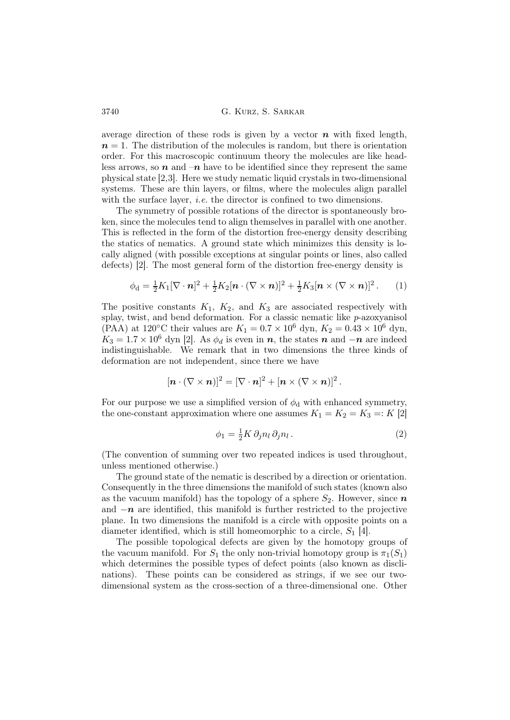average direction of these rods is given by a vector  $\boldsymbol{n}$  with fixed length,  $n = 1$ . The distribution of the molecules is random, but there is orientation order. For this macroscopic continuum theory the molecules are like headless arrows, so  $n$  and  $-n$  have to be identified since they represent the same physical state [2,3]. Here we study nematic liquid crystals in two-dimensional systems. These are thin layers, or films, where the molecules align parallel with the surface layer, *i.e.* the director is confined to two dimensions.

The symmetry of possible rotations of the director is spontaneously broken, since the molecules tend to align themselves in parallel with one another. This is reflected in the form of the distortion free-energy density describing the statics of nematics. A ground state which minimizes this density is locally aligned (with possible exceptions at singular points or lines, also called defects) [2]. The most general form of the distortion free-energy density is

$$
\phi_{\mathbf{d}} = \frac{1}{2}K_1[\nabla \cdot \mathbf{n}]^2 + \frac{1}{2}K_2[\mathbf{n} \cdot (\nabla \times \mathbf{n})]^2 + \frac{1}{2}K_3[\mathbf{n} \times (\nabla \times \mathbf{n})]^2. \tag{1}
$$

The positive constants  $K_1$ ,  $K_2$ , and  $K_3$  are associated respectively with splay, twist, and bend deformation. For a classic nematic like  $p$ -azoxyanisol (PAA) at 120°C their values are  $K_1 = 0.7 \times 10^6$  dyn,  $K_2 = 0.43 \times 10^6$  dyn,  $K_3 = 1.7 \times 10^6$  dyn [2]. As  $\phi_d$  is even in n, the states n and  $-n$  are indeed indistinguishable. We remark that in two dimensions the three kinds of deformation are not independent, since there we have

$$
[\boldsymbol{n}\cdot(\nabla\times\boldsymbol{n})]^2=[\nabla\cdot\boldsymbol{n}]^2+[\boldsymbol{n}\times(\nabla\times\boldsymbol{n})]^2\,.
$$

For our purpose we use a simplified version of  $\phi_d$  with enhanced symmetry, the one-constant approximation where one assumes  $K_1 = K_2 = K_3 =: K [2]$ 

$$
\phi_1 = \frac{1}{2} K \, \partial_j n_l \, \partial_j n_l \,. \tag{2}
$$

(The convention of summing over two repeated indices is used throughout, unless mentioned otherwise.)

The ground state of the nematic is described by a direction or orientation. Consequently in the three dimensions the manifold of such states (known also as the vacuum manifold) has the topology of a sphere  $S_2$ . However, since n and  $-n$  are identified, this manifold is further restricted to the projective plane. In two dimensions the manifold is a circle with opposite points on a diameter identified, which is still homeomorphic to a circle,  $S_1$  [4].

The possible topological defects are given by the homotopy groups of the vacuum manifold. For  $S_1$  the only non-trivial homotopy group is  $\pi_1(S_1)$ which determines the possible types of defect points (also known as disclinations). These points can be considered as strings, if we see our twodimensional system as the cross-section of a three-dimensional one. Other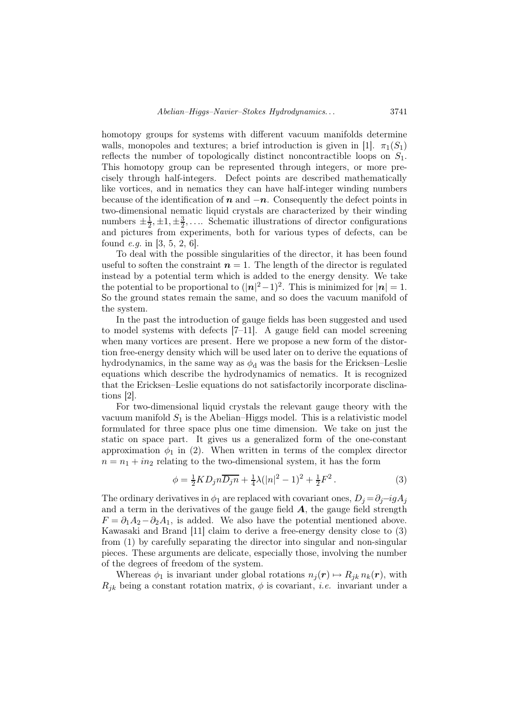homotopy groups for systems with different vacuum manifolds determine walls, monopoles and textures; a brief introduction is given in [1].  $\pi_1(S_1)$ reflects the number of topologically distinct noncontractible loops on  $S_1$ . This homotopy group can be represented through integers, or more precisely through half-integers. Defect points are described mathematically like vortices, and in nematics they can have half-integer winding numbers because of the identification of  $n$  and  $-n$ . Consequently the defect points in two-dimensional nematic liquid crystals are characterized by their winding numbers  $\pm \frac{1}{2}$  $\frac{1}{2}, \pm 1, \pm \frac{3}{2}$  $\frac{3}{2}$ ,.... Schematic illustrations of director configurations and pictures from experiments, both for various types of defects, can be found *e.g.* in [3, 5, 2, 6].

To deal with the possible singularities of the director, it has been found useful to soften the constraint  $n = 1$ . The length of the director is regulated instead by a potential term which is added to the energy density. We take the potential to be proportional to  $(|n|^2-1)^2$ . This is minimized for  $|n|=1$ . So the ground states remain the same, and so does the vacuum manifold of the system.

In the past the introduction of gauge fields has been suggested and used to model systems with defects [7–11]. A gauge field can model screening when many vortices are present. Here we propose a new form of the distortion free-energy density which will be used later on to derive the equations of hydrodynamics, in the same way as  $\phi_d$  was the basis for the Ericksen–Leslie equations which describe the hydrodynamics of nematics. It is recognized that the Ericksen–Leslie equations do not satisfactorily incorporate disclinations [2].

For two-dimensional liquid crystals the relevant gauge theory with the vacuum manifold  $S_1$  is the Abelian–Higgs model. This is a relativistic model formulated for three space plus one time dimension. We take on just the static on space part. It gives us a generalized form of the one-constant approximation  $\phi_1$  in (2). When written in terms of the complex director  $n = n_1 + in_2$  relating to the two-dimensional system, it has the form

$$
\phi = \frac{1}{2} K D_j n \overline{D_j n} + \frac{1}{4} \lambda (|n|^2 - 1)^2 + \frac{1}{2} F^2.
$$
 (3)

The ordinary derivatives in  $\phi_1$  are replaced with covariant ones,  $D_j = \partial_j - igA_j$ and a term in the derivatives of the gauge field  $A$ , the gauge field strength  $F = \partial_1 A_2 - \partial_2 A_1$ , is added. We also have the potential mentioned above. Kawasaki and Brand [11] claim to derive a free-energy density close to (3) from (1) by carefully separating the director into singular and non-singular pieces. These arguments are delicate, especially those, involving the number of the degrees of freedom of the system.

Whereas  $\phi_1$  is invariant under global rotations  $n_i(\mathbf{r}) \mapsto R_{ik} n_k(\mathbf{r})$ , with  $R_{jk}$  being a constant rotation matrix,  $\phi$  is covariant, *i.e.* invariant under a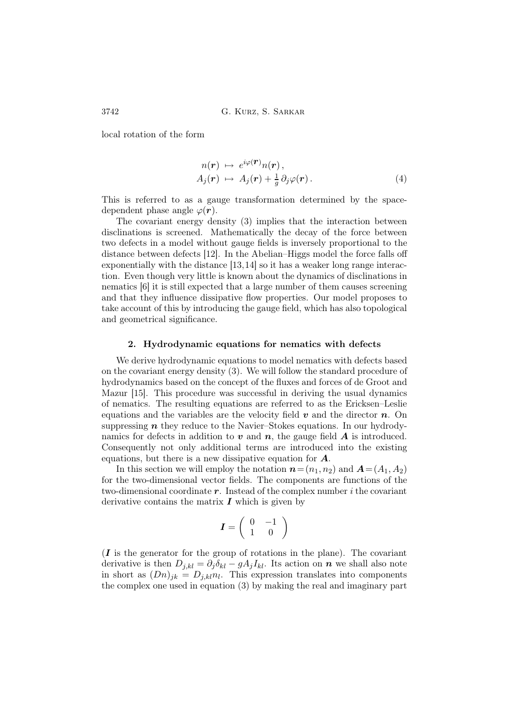local rotation of the form

$$
n(\mathbf{r}) \mapsto e^{i\varphi(\mathbf{r})} n(\mathbf{r}), A_j(\mathbf{r}) \mapsto A_j(\mathbf{r}) + \frac{1}{g} \partial_j \varphi(\mathbf{r}).
$$
 (4)

This is referred to as a gauge transformation determined by the spacedependent phase angle  $\varphi(\mathbf{r})$ .

The covariant energy density (3) implies that the interaction between disclinations is screened. Mathematically the decay of the force between two defects in a model without gauge fields is inversely proportional to the distance between defects [12]. In the Abelian–Higgs model the force falls off exponentially with the distance [13,14] so it has a weaker long range interaction. Even though very little is known about the dynamics of disclinations in nematics [6] it is still expected that a large number of them causes screening and that they influence dissipative flow properties. Our model proposes to take account of this by introducing the gauge field, which has also topological and geometrical significance.

#### 2. Hydrodynamic equations for nematics with defects

We derive hydrodynamic equations to model nematics with defects based on the covariant energy density (3). We will follow the standard procedure of hydrodynamics based on the concept of the fluxes and forces of de Groot and Mazur [15]. This procedure was successful in deriving the usual dynamics of nematics. The resulting equations are referred to as the Ericksen–Leslie equations and the variables are the velocity field  $v$  and the director  $n$ . On suppressing  $n$  they reduce to the Navier–Stokes equations. In our hydrodynamics for defects in addition to  $v$  and  $n$ , the gauge field  $A$  is introduced. Consequently not only additional terms are introduced into the existing equations, but there is a new dissipative equation for A.

In this section we will employ the notation  $n=(n_1, n_2)$  and  $A=(A_1, A_2)$ for the two-dimensional vector fields. The components are functions of the two-dimensional coordinate  $r$ . Instead of the complex number i the covariant derivative contains the matrix  $\bm{I}$  which is given by

$$
\boldsymbol{I} = \left( \begin{array}{cc} 0 & -1 \\ 1 & 0 \end{array} \right)
$$

 $(I$  is the generator for the group of rotations in the plane). The covariant derivative is then  $D_{j,kl} = \partial_j \delta_{kl} - g A_j I_{kl}$ . Its action on  $n$  we shall also note in short as  $(Dn)_{jk} = D_{j,kl} n_l$ . This expression translates into components the complex one used in equation (3) by making the real and imaginary part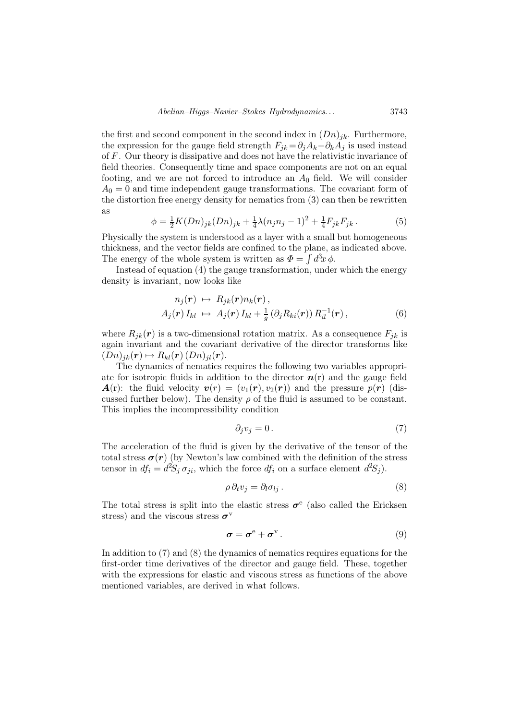the first and second component in the second index in  $(Dn)_{jk}$ . Furthermore, the expression for the gauge field strength  $F_{ik} = \partial_i A_k - \partial_k A_j$  is used instead of F. Our theory is dissipative and does not have the relativistic invariance of field theories. Consequently time and space components are not on an equal footing, and we are not forced to introduce an  $A_0$  field. We will consider  $A_0 = 0$  and time independent gauge transformations. The covariant form of the distortion free energy density for nematics from (3) can then be rewritten as

$$
\phi = \frac{1}{2}K(Dn)_{jk}(Dn)_{jk} + \frac{1}{4}\lambda(n_jn_j - 1)^2 + \frac{1}{4}F_{jk}F_{jk}.
$$
 (5)

Physically the system is understood as a layer with a small but homogeneous thickness, and the vector fields are confined to the plane, as indicated above. The energy of the whole system is written as  $\Phi = \int d^3x \phi$ .

Instead of equation (4) the gauge transformation, under which the energy density is invariant, now looks like

$$
n_j(\mathbf{r}) \mapsto R_{jk}(\mathbf{r}) n_k(\mathbf{r}),
$$
  
\n
$$
A_j(\mathbf{r}) I_{kl} \mapsto A_j(\mathbf{r}) I_{kl} + \frac{1}{g} (\partial_j R_{ki}(\mathbf{r})) R_{il}^{-1}(\mathbf{r}),
$$
\n(6)

where  $R_{jk}(\mathbf{r})$  is a two-dimensional rotation matrix. As a consequence  $F_{jk}$  is again invariant and the covariant derivative of the director transforms like  $(Dn)_{ik}(\mathbf{r}) \mapsto R_{kl}(\mathbf{r})(Dn)_{il}(\mathbf{r}).$ 

The dynamics of nematics requires the following two variables appropriate for isotropic fluids in addition to the director  $n(r)$  and the gauge field  $\mathbf{A}(\mathbf{r})$ : the fluid velocity  $\mathbf{v}(r) = (v_1(r), v_2(r))$  and the pressure  $p(r)$  (discussed further below). The density  $\rho$  of the fluid is assumed to be constant. This implies the incompressibility condition

$$
\partial_j v_j = 0. \tag{7}
$$

The acceleration of the fluid is given by the derivative of the tensor of the total stress  $\sigma(r)$  (by Newton's law combined with the definition of the stress tensor in  $df_i = d^2S_j \sigma_{ji}$ , which the force  $df_i$  on a surface element  $d^2S_j$ .

$$
\rho \, \partial_t v_j = \partial_l \sigma_{lj} \,. \tag{8}
$$

The total stress is split into the elastic stress  $\sigma^e$  (also called the Ericksen stress) and the viscous stress  $\boldsymbol{\sigma}^{\text{v}}$ 

$$
\boldsymbol{\sigma} = \boldsymbol{\sigma}^{\mathrm{e}} + \boldsymbol{\sigma}^{\mathrm{v}} \,. \tag{9}
$$

In addition to (7) and (8) the dynamics of nematics requires equations for the first-order time derivatives of the director and gauge field. These, together with the expressions for elastic and viscous stress as functions of the above mentioned variables, are derived in what follows.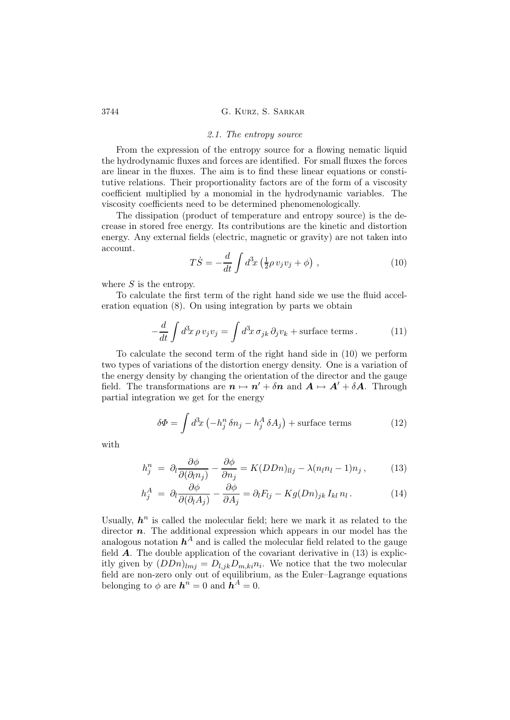#### 2.1. The entropy source

From the expression of the entropy source for a flowing nematic liquid the hydrodynamic fluxes and forces are identified. For small fluxes the forces are linear in the fluxes. The aim is to find these linear equations or constitutive relations. Their proportionality factors are of the form of a viscosity coefficient multiplied by a monomial in the hydrodynamic variables. The viscosity coefficients need to be determined phenomenologically.

The dissipation (product of temperature and entropy source) is the decrease in stored free energy. Its contributions are the kinetic and distortion energy. Any external fields (electric, magnetic or gravity) are not taken into account.

$$
T\dot{S} = -\frac{d}{dt} \int d^3x \left(\frac{1}{2}\rho v_j v_j + \phi\right) , \qquad (10)
$$

where  $S$  is the entropy.

To calculate the first term of the right hand side we use the fluid acceleration equation (8). On using integration by parts we obtain

$$
-\frac{d}{dt}\int d^3x \,\rho \,v_j v_j = \int d^3x \,\sigma_{jk} \,\partial_j v_k + \text{surface terms} \,. \tag{11}
$$

To calculate the second term of the right hand side in (10) we perform two types of variations of the distortion energy density. One is a variation of the energy density by changing the orientation of the director and the gauge field. The transformations are  $\mathbf{n} \mapsto \mathbf{n}' + \delta \mathbf{n}$  and  $\mathbf{A} \mapsto \mathbf{A}' + \delta \mathbf{A}$ . Through partial integration we get for the energy

$$
\delta \Phi = \int d^3x \left( -h_j^n \delta n_j - h_j^A \delta A_j \right) + \text{surface terms} \tag{12}
$$

with

$$
h_j^n = \partial_l \frac{\partial \phi}{\partial(\partial_l n_j)} - \frac{\partial \phi}{\partial n_j} = K(DDn)_{llj} - \lambda(n_l n_l - 1) n_j, \qquad (13)
$$

$$
h_j^A = \partial_l \frac{\partial \phi}{\partial(\partial_l A_j)} - \frac{\partial \phi}{\partial A_j} = \partial_l F_{lj} - K g (Dn)_{jk} I_{kl} n_l. \tag{14}
$$

Usually,  $h^n$  is called the molecular field; here we mark it as related to the director  $n$ . The additional expression which appears in our model has the analogous notation  $h^A$  and is called the molecular field related to the gauge field  $\bf{A}$ . The double application of the covariant derivative in (13) is explicitly given by  $(DDn)_{lmj} = D_{l,jk}D_{m,ki}n_i$ . We notice that the two molecular field are non-zero only out of equilibrium, as the Euler–Lagrange equations belonging to  $\phi$  are  $h^n = 0$  and  $h^A = 0$ .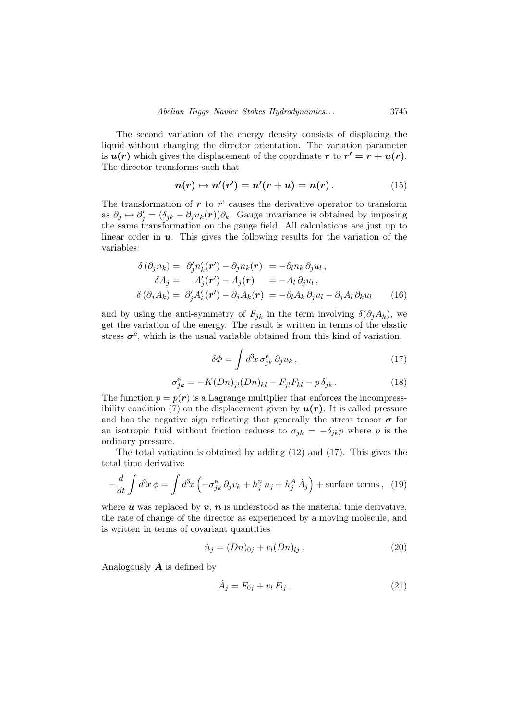The second variation of the energy density consists of displacing the liquid without changing the director orientation. The variation parameter is  $u(r)$  which gives the displacement of the coordinate r to  $r' = r + u(r)$ . The director transforms such that

$$
n(r) \mapsto n'(r') = n'(r+u) = n(r).
$$
 (15)

The transformation of  $r$  to  $r'$  causes the derivative operator to transform as  $\partial_j \mapsto \partial'_j = (\delta_{jk} - \partial_j u_k(r))\partial_k$ . Gauge invariance is obtained by imposing the same transformation on the gauge field. All calculations are just up to linear order in  $u$ . This gives the following results for the variation of the variables:

$$
\delta(\partial_j n_k) = \partial'_j n'_k(\mathbf{r}') - \partial_j n_k(\mathbf{r}) = -\partial_l n_k \partial_j u_l, \delta A_j = A'_j(\mathbf{r}') - A_j(\mathbf{r}) = -A_l \partial_j u_l, \delta(\partial_j A_k) = \partial'_j A'_k(\mathbf{r}') - \partial_j A_k(\mathbf{r}) = -\partial_l A_k \partial_j u_l - \partial_j A_l \partial_k u_l
$$
\n(16)

and by using the anti-symmetry of  $F_{jk}$  in the term involving  $\delta(\partial_j A_k)$ , we get the variation of the energy. The result is written in terms of the elastic stress  $\sigma^e$ , which is the usual variable obtained from this kind of variation.

$$
\delta \Phi = \int d^3x \,\sigma_{jk}^{\rm e} \,\partial_j u_k \,, \tag{17}
$$

$$
\sigma_{jk}^{\rm e} = -K(Dn)_{jl}(Dn)_{kl} - F_{jl}F_{kl} - p\,\delta_{jk} \,. \tag{18}
$$

The function  $p = p(\mathbf{r})$  is a Lagrange multiplier that enforces the incompressibility condition (7) on the displacement given by  $u(r)$ . It is called pressure and has the negative sign reflecting that generally the stress tensor  $\sigma$  for an isotropic fluid without friction reduces to  $\sigma_{jk} = -\delta_{jk}p$  where p is the ordinary pressure.

The total variation is obtained by adding (12) and (17). This gives the total time derivative

$$
-\frac{d}{dt}\int d^3x \phi = \int d^3x \left(-\sigma_{jk}^e \partial_j v_k + h_j^h \dot{n}_j + h_j^A \dot{A}_j\right) + \text{surface terms}, \tag{19}
$$

where  $\dot{u}$  was replaced by  $v, \dot{n}$  is understood as the material time derivative, the rate of change of the director as experienced by a moving molecule, and is written in terms of covariant quantities

$$
\dot{n}_j = (Dn)_{0j} + v_l (Dn)_{lj} \,. \tag{20}
$$

Analogously  $\dot{\mathbf{A}}$  is defined by

$$
\dot{A}_j = F_{0j} + v_l F_{lj} \,. \tag{21}
$$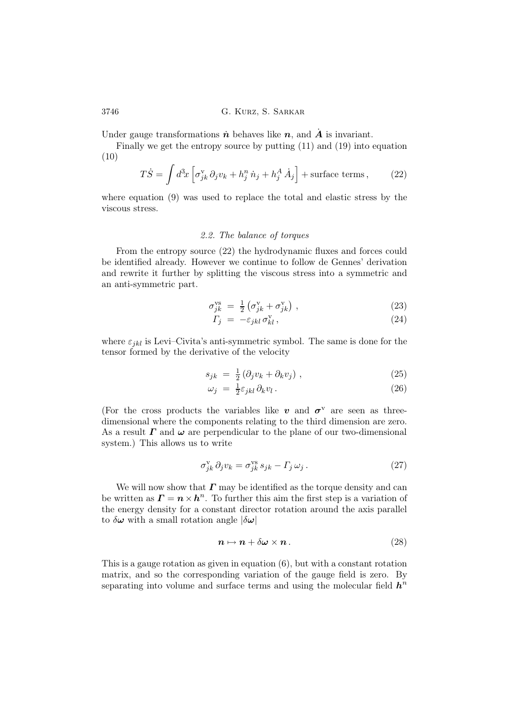Under gauge transformations  $\dot{n}$  behaves like  $n$ , and  $\dot{A}$  is invariant.

Finally we get the entropy source by putting (11) and (19) into equation (10)

$$
T\dot{S} = \int d^3x \left[ \sigma_{jk}^{\rm v} \partial_j v_k + h_j^{\rm n} \dot{n}_j + h_j^{\rm A} \dot{A}_j \right] + \text{surface terms},\qquad(22)
$$

where equation (9) was used to replace the total and elastic stress by the viscous stress.

## 2.2. The balance of torques

From the entropy source (22) the hydrodynamic fluxes and forces could be identified already. However we continue to follow de Gennes' derivation and rewrite it further by splitting the viscous stress into a symmetric and an anti-symmetric part.

$$
\sigma_{jk}^{\text{vs}} = \frac{1}{2} \left( \sigma_{jk}^{\text{v}} + \sigma_{jk}^{\text{v}} \right) , \qquad (23)
$$

$$
\Gamma_j = -\varepsilon_{jkl} \,\sigma_{kl}^{\rm v} \,,\tag{24}
$$

where  $\varepsilon_{jkl}$  is Levi–Civita's anti-symmetric symbol. The same is done for the tensor formed by the derivative of the velocity

$$
s_{jk} = \frac{1}{2} \left( \partial_j v_k + \partial_k v_j \right) , \qquad (25)
$$

$$
\omega_j = \frac{1}{2} \varepsilon_{jkl} \, \partial_k v_l \,. \tag{26}
$$

(For the cross products the variables like  $v$  and  $\sigma^v$  are seen as threedimensional where the components relating to the third dimension are zero. As a result  $\Gamma$  and  $\omega$  are perpendicular to the plane of our two-dimensional system.) This allows us to write

$$
\sigma_{jk}^{\mathbf{v}} \,\partial_j v_k = \sigma_{jk}^{\mathbf{v}\mathbf{s}} \, s_{jk} - \Gamma_j \, \omega_j \,. \tag{27}
$$

We will now show that  $\Gamma$  may be identified as the torque density and can be written as  $\mathbf{\Gamma} = \mathbf{n} \times \mathbf{h}^n$ . To further this aim the first step is a variation of the energy density for a constant director rotation around the axis parallel to  $\delta\omega$  with a small rotation angle  $|\delta\omega|$ 

$$
n \mapsto n + \delta \omega \times n \,. \tag{28}
$$

This is a gauge rotation as given in equation (6), but with a constant rotation matrix, and so the corresponding variation of the gauge field is zero. By separating into volume and surface terms and using the molecular field  $h^n$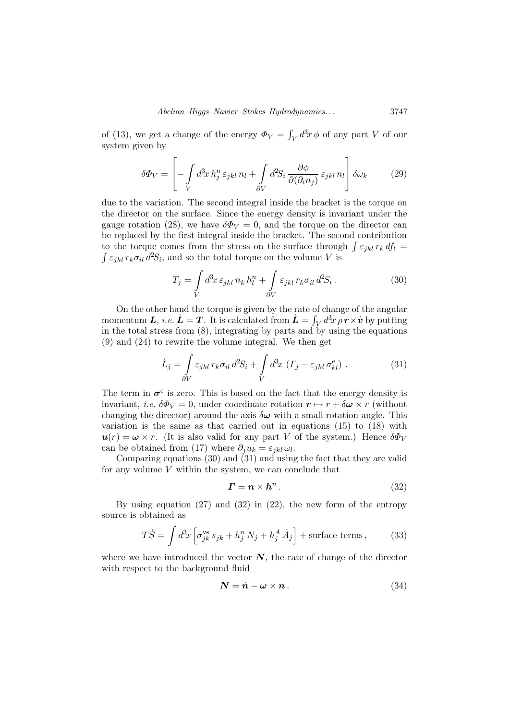of (13), we get a change of the energy  $\Phi_V = \int_V d^3x \phi$  of any part V of our system given by

$$
\delta \Phi_V = \left[ - \int\limits_V d^3x \, h_j^n \, \varepsilon_{jkl} \, n_l + \int\limits_{\partial V} d^2S_i \, \frac{\partial \phi}{\partial (\partial_i n_j)} \, \varepsilon_{jkl} \, n_l \right] \delta \omega_k \tag{29}
$$

due to the variation. The second integral inside the bracket is the torque on the director on the surface. Since the energy density is invariant under the gauge rotation (28), we have  $\delta \Phi_V = 0$ , and the torque on the director can be replaced by the first integral inside the bracket. The second contribution to the torque comes from the stress on the surface through  $\int \varepsilon_{jkl} r_k df_l =$  $\int \varepsilon_{jkl} r_k \sigma_{il} d^2S_i$ , and so the total torque on the volume V is

$$
T_j = \int\limits_V d^3x \,\varepsilon_{jkl} \, n_k \, h_l^n + \int\limits_{\partial V} \varepsilon_{jkl} \, r_k \sigma_{il} \, d^2S_i \,. \tag{30}
$$

On the other hand the torque is given by the rate of change of the angular momentum L, *i.e.*  $\dot{L} = T$ . It is calculated from  $\dot{L} = \int_V d^3x \rho \, \dot{r} \times \dot{v}$  by putting in the total stress from (8), integrating by parts and by using the equations (9) and (24) to rewrite the volume integral. We then get

$$
\dot{L}_j = \int_{\partial V} \varepsilon_{jkl} \, r_k \sigma_{il} \, d^2S_i + \int_V d^3x \, \left( \Gamma_j - \varepsilon_{jkl} \, \sigma_{kl}^e \right) \,. \tag{31}
$$

The term in  $\sigma^e$  is zero. This is based on the fact that the energy density is invariant, *i.e.*  $\delta \Phi_V = 0$ , under coordinate rotation  $r \mapsto r + \delta \omega \times r$  (without changing the director) around the axis  $\delta\omega$  with a small rotation angle. This variation is the same as that carried out in equations (15) to (18) with  $u(r) = \omega \times r$ . (It is also valid for any part V of the system.) Hence  $\delta \Phi_V$ can be obtained from (17) where  $\partial_j u_k = \varepsilon_{jkl} \omega_l$ .

Comparing equations (30) and (31) and using the fact that they are valid for any volume  $V$  within the system, we can conclude that

$$
\boldsymbol{\Gamma} = \boldsymbol{n} \times \boldsymbol{h}^n. \tag{32}
$$

By using equation (27) and (32) in (22), the new form of the entropy source is obtained as

$$
T\dot{S} = \int d^3x \left[ \sigma_{jk}^{\text{vs}} s_{jk} + h_j^n N_j + h_j^A \dot{A}_j \right] + \text{surface terms},\qquad(33)
$$

where we have introduced the vector  $N$ , the rate of change of the director with respect to the background fluid

$$
N = \dot{n} - \omega \times n \,. \tag{34}
$$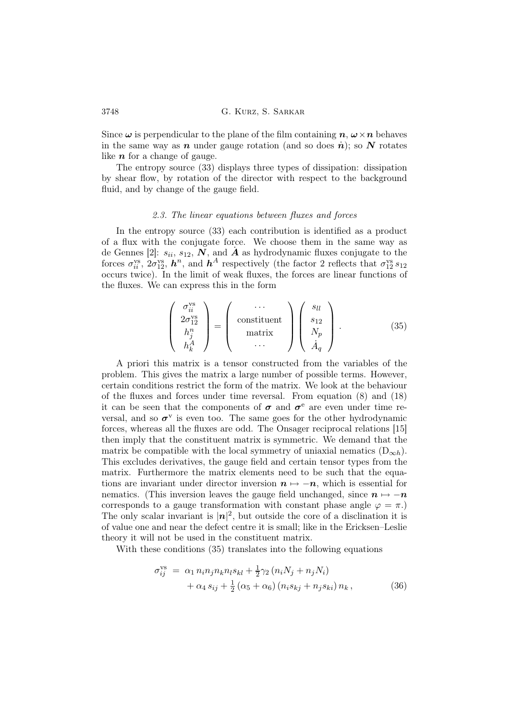Since  $\omega$  is perpendicular to the plane of the film containing  $n, \omega \times n$  behaves in the same way as n under gauge rotation (and so does  $\dot{n}$ ); so N rotates like  $n$  for a change of gauge.

The entropy source (33) displays three types of dissipation: dissipation by shear flow, by rotation of the director with respect to the background fluid, and by change of the gauge field.

#### 2.3. The linear equations between fluxes and forces

In the entropy source (33) each contribution is identified as a product of a flux with the conjugate force. We choose them in the same way as de Gennes [2]:  $s_{ii}, s_{12}, \overrightarrow{N}$ , and  $\overrightarrow{A}$  as hydrodynamic fluxes conjugate to the forces  $\sigma_{ii}^{vs}$ ,  $2\sigma_{12}^{vs}$ ,  $h^n$ , and  $h^A$  respectively (the factor 2 reflects that  $\sigma_{12}^{vs} s_{12}$ occurs twice). In the limit of weak fluxes, the forces are linear functions of the fluxes. We can express this in the form

$$
\begin{pmatrix}\n\sigma_{ii}^{vs} \\
2\sigma_{12}^{vs} \\
h_a^n \\
h_b^A\n\end{pmatrix} = \begin{pmatrix}\n\cdots \\
\text{constituent} \\
\text{matrix} \\
\vdots \\
\ddots\n\end{pmatrix} \begin{pmatrix}\ns_{ll} \\
s_{12} \\
N_p \\
\vdots \\
\ddots\n\end{pmatrix} .
$$
\n(35)

A priori this matrix is a tensor constructed from the variables of the problem. This gives the matrix a large number of possible terms. However, certain conditions restrict the form of the matrix. We look at the behaviour of the fluxes and forces under time reversal. From equation (8) and (18) it can be seen that the components of  $\sigma$  and  $\sigma^e$  are even under time reversal, and so  $\sigma^v$  is even too. The same goes for the other hydrodynamic forces, whereas all the fluxes are odd. The Onsager reciprocal relations [15] then imply that the constituent matrix is symmetric. We demand that the matrix be compatible with the local symmetry of uniaxial nematics  $(D_{\infty h})$ . This excludes derivatives, the gauge field and certain tensor types from the matrix. Furthermore the matrix elements need to be such that the equations are invariant under director inversion  $n \mapsto -n$ , which is essential for nematics. (This inversion leaves the gauge field unchanged, since  $n \mapsto -n$ corresponds to a gauge transformation with constant phase angle  $\varphi = \pi$ .) The only scalar invariant is  $|n|^2$ , but outside the core of a disclination it is of value one and near the defect centre it is small; like in the Ericksen–Leslie theory it will not be used in the constituent matrix.

With these conditions (35) translates into the following equations

$$
\sigma_{ij}^{vs} = \alpha_1 n_i n_j n_k n_l s_{kl} + \frac{1}{2} \gamma_2 (n_i N_j + n_j N_i) + \alpha_4 s_{ij} + \frac{1}{2} (\alpha_5 + \alpha_6) (n_i s_{kj} + n_j s_{ki}) n_k,
$$
(36)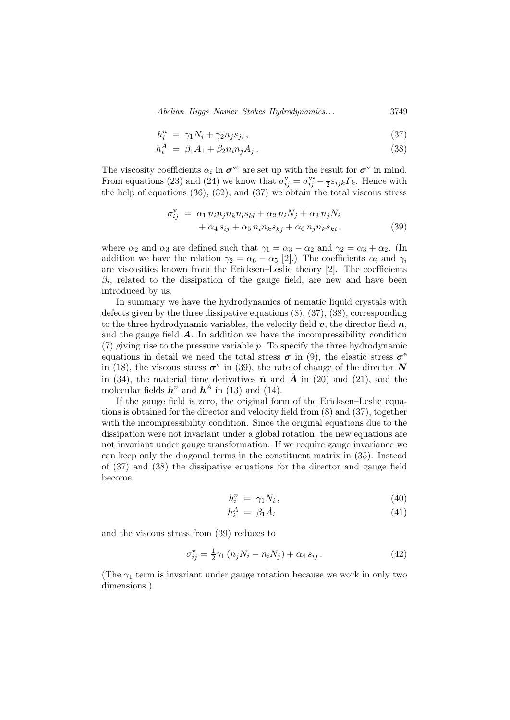Abelian–Higgs–Navier–Stokes Hydrodynamics. . . 3749

$$
h_i^n = \gamma_1 N_i + \gamma_2 n_j s_{ji}, \qquad (37)
$$

$$
h_i^A = \beta_1 \dot{A}_1 + \beta_2 n_i n_j \dot{A}_j. \tag{38}
$$

The viscosity coefficients  $\alpha_i$  in  $\sigma^{vs}$  are set up with the result for  $\sigma^v$  in mind. From equations (23) and (24) we know that  $\sigma_{ij}^{\rm v} = \sigma_{ij}^{\rm vs} - \frac{1}{2}$  $\frac{1}{2}\varepsilon_{ijk}\Gamma_k$ . Hence with the help of equations  $(36)$ ,  $(32)$ , and  $(37)$  we obtain the total viscous stress

$$
\sigma_{ij}^{\mathbf{v}} = \alpha_1 n_i n_j n_k n_l s_{kl} + \alpha_2 n_i N_j + \alpha_3 n_j N_i
$$
  
+ 
$$
\alpha_4 s_{ij} + \alpha_5 n_i n_k s_{kj} + \alpha_6 n_j n_k s_{ki},
$$
 (39)

where  $\alpha_2$  and  $\alpha_3$  are defined such that  $\gamma_1 = \alpha_3 - \alpha_2$  and  $\gamma_2 = \alpha_3 + \alpha_2$ . (In addition we have the relation  $\gamma_2 = \alpha_6 - \alpha_5$  [2].) The coefficients  $\alpha_i$  and  $\gamma_i$ are viscosities known from the Ericksen–Leslie theory [2]. The coefficients  $\beta_i$ , related to the dissipation of the gauge field, are new and have been introduced by us.

In summary we have the hydrodynamics of nematic liquid crystals with defects given by the three dissipative equations (8), (37), (38), corresponding to the three hydrodynamic variables, the velocity field  $v$ , the director field  $n$ , and the gauge field  $\boldsymbol{A}$ . In addition we have the incompressibility condition (7) giving rise to the pressure variable p. To specify the three hydrodynamic equations in detail we need the total stress  $\sigma$  in (9), the elastic stress  $\sigma$ <sup>e</sup> in (18), the viscous stress  $\sigma^{\rm v}$  in (39), the rate of change of the director N in (34), the material time derivatives  $\dot{n}$  and  $\dot{A}$  in (20) and (21), and the molecular fields  $h^n$  and  $h^A$  in (13) and (14).

If the gauge field is zero, the original form of the Ericksen–Leslie equations is obtained for the director and velocity field from (8) and (37), together with the incompressibility condition. Since the original equations due to the dissipation were not invariant under a global rotation, the new equations are not invariant under gauge transformation. If we require gauge invariance we can keep only the diagonal terms in the constituent matrix in (35). Instead of (37) and (38) the dissipative equations for the director and gauge field become

$$
h_i^n = \gamma_1 N_i, \qquad (40)
$$

$$
h_i^A = \beta_1 \dot{A}_i \tag{41}
$$

and the viscous stress from (39) reduces to

$$
\sigma_{ij}^{\rm v} = \frac{1}{2}\gamma_1 \left( n_j N_i - n_i N_j \right) + \alpha_4 s_{ij} \,. \tag{42}
$$

(The  $\gamma_1$  term is invariant under gauge rotation because we work in only two dimensions.)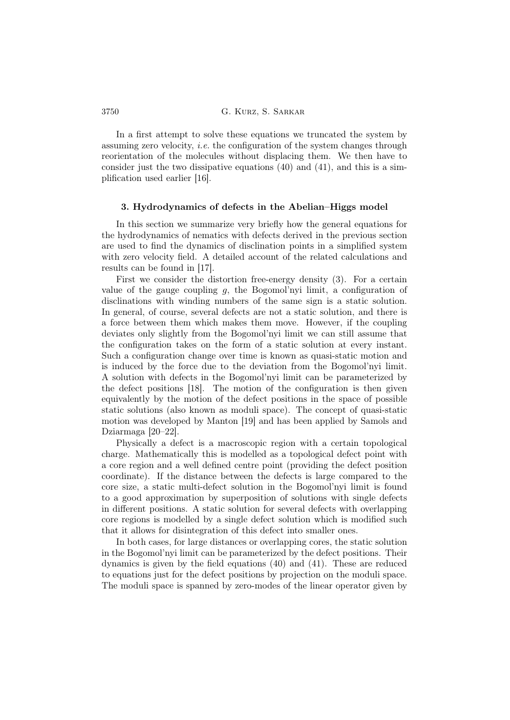In a first attempt to solve these equations we truncated the system by assuming zero velocity, *i.e.* the configuration of the system changes through reorientation of the molecules without displacing them. We then have to consider just the two dissipative equations (40) and (41), and this is a simplification used earlier [16].

## 3. Hydrodynamics of defects in the Abelian–Higgs model

In this section we summarize very briefly how the general equations for the hydrodynamics of nematics with defects derived in the previous section are used to find the dynamics of disclination points in a simplified system with zero velocity field. A detailed account of the related calculations and results can be found in [17].

First we consider the distortion free-energy density (3). For a certain value of the gauge coupling  $q$ , the Bogomol'nyi limit, a configuration of disclinations with winding numbers of the same sign is a static solution. In general, of course, several defects are not a static solution, and there is a force between them which makes them move. However, if the coupling deviates only slightly from the Bogomol'nyi limit we can still assume that the configuration takes on the form of a static solution at every instant. Such a configuration change over time is known as quasi-static motion and is induced by the force due to the deviation from the Bogomol'nyi limit. A solution with defects in the Bogomol'nyi limit can be parameterized by the defect positions [18]. The motion of the configuration is then given equivalently by the motion of the defect positions in the space of possible static solutions (also known as moduli space). The concept of quasi-static motion was developed by Manton [19] and has been applied by Samols and Dziarmaga [20–22].

Physically a defect is a macroscopic region with a certain topological charge. Mathematically this is modelled as a topological defect point with a core region and a well defined centre point (providing the defect position coordinate). If the distance between the defects is large compared to the core size, a static multi-defect solution in the Bogomol'nyi limit is found to a good approximation by superposition of solutions with single defects in different positions. A static solution for several defects with overlapping core regions is modelled by a single defect solution which is modified such that it allows for disintegration of this defect into smaller ones.

In both cases, for large distances or overlapping cores, the static solution in the Bogomol'nyi limit can be parameterized by the defect positions. Their dynamics is given by the field equations (40) and (41). These are reduced to equations just for the defect positions by projection on the moduli space. The moduli space is spanned by zero-modes of the linear operator given by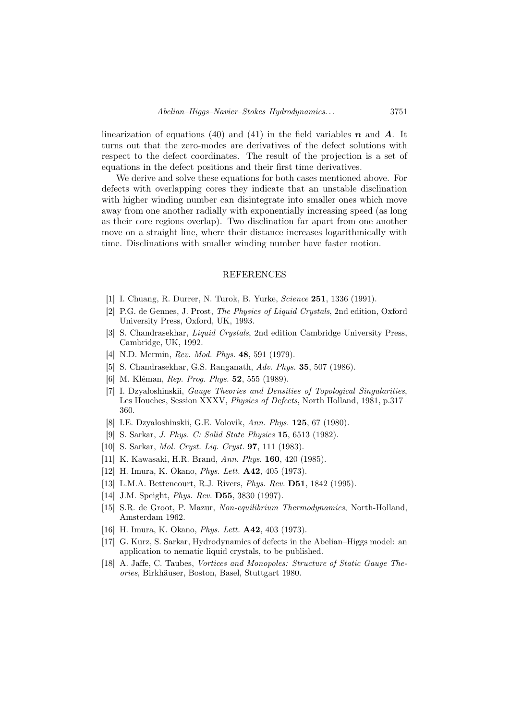linearization of equations (40) and (41) in the field variables  $n$  and  $\vec{A}$ . It turns out that the zero-modes are derivatives of the defect solutions with respect to the defect coordinates. The result of the projection is a set of equations in the defect positions and their first time derivatives.

We derive and solve these equations for both cases mentioned above. For defects with overlapping cores they indicate that an unstable disclination with higher winding number can disintegrate into smaller ones which move away from one another radially with exponentially increasing speed (as long as their core regions overlap). Two disclination far apart from one another move on a straight line, where their distance increases logarithmically with time. Disclinations with smaller winding number have faster motion.

## REFERENCES

- [1] I. Chuang, R. Durrer, N. Turok, B. Yurke, Science 251, 1336 (1991).
- [2] P.G. de Gennes, J. Prost, The Physics of Liquid Crystals, 2nd edition, Oxford University Press, Oxford, UK, 1993.
- [3] S. Chandrasekhar, Liquid Crystals, 2nd edition Cambridge University Press, Cambridge, UK, 1992.
- [4] N.D. Mermin, Rev. Mod. Phys. 48, 591 (1979).
- [5] S. Chandrasekhar, G.S. Ranganath, Adv. Phys. 35, 507 (1986).
- [6] M. Kléman, Rep. Prog. Phys. 52, 555 (1989).
- [7] I. Dzyaloshinskii, Gauge Theories and Densities of Topological Singularities, Les Houches, Session XXXV, Physics of Defects, North Holland, 1981, p.317– 360.
- [8] I.E. Dzyaloshinskii, G.E. Volovik, Ann. Phys. 125, 67 (1980).
- [9] S. Sarkar, J. Phys. C: Solid State Physics 15, 6513 (1982).
- [10] S. Sarkar, *Mol. Crust. Lig. Crust.* **97**, 111 (1983).
- [11] K. Kawasaki, H.R. Brand, Ann. Phys. 160, 420 (1985).
- [12] H. Imura, K. Okano, Phys. Lett. A42, 405 (1973).
- [13] L.M.A. Bettencourt, R.J. Rivers, *Phys. Rev.* **D51**, 1842 (1995).
- [14] J.M. Speight, Phys. Rev. D55, 3830 (1997).
- [15] S.R. de Groot, P. Mazur, Non-equilibrium Thermodynamics, North-Holland, Amsterdam 1962.
- [16] H. Imura, K. Okano, *Phys. Lett.* **A42**, 403 (1973).
- [17] G. Kurz, S. Sarkar, Hydrodynamics of defects in the Abelian–Higgs model: an application to nematic liquid crystals, to be published.
- [18] A. Jaffe, C. Taubes, Vortices and Monopoles: Structure of Static Gauge Theories, Birkhäuser, Boston, Basel, Stuttgart 1980.